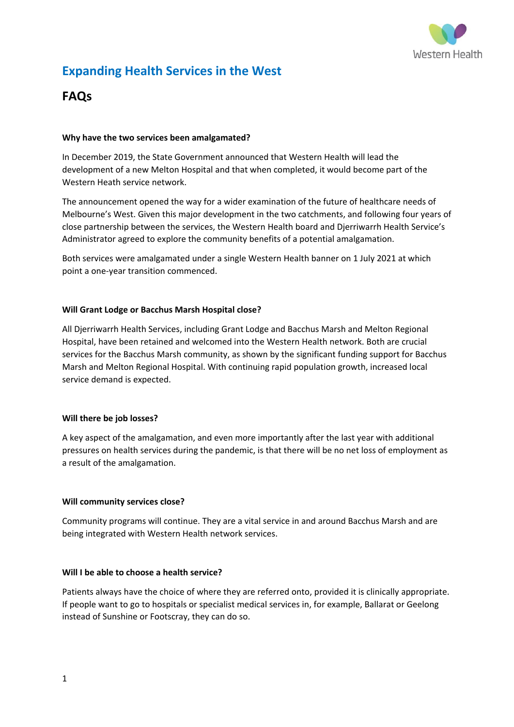

# **Expanding Health Services in the West**

## **FAQs**

#### **Why have the two services been amalgamated?**

In December 2019, the State Government announced that Western Health will lead the development of a new Melton Hospital and that when completed, it would become part of the Western Heath service network.

The announcement opened the way for a wider examination of the future of healthcare needs of Melbourne's West. Given this major development in the two catchments, and following four years of close partnership between the services, the Western Health board and Djerriwarrh Health Service's Administrator agreed to explore the community benefits of a potential amalgamation.

Both services were amalgamated under a single Western Health banner on 1 July 2021 at which point a one-year transition commenced.

#### **[Will Grant Lodge or Bacchus Marsh Hospital close?](https://betterhealthforthewest.com.au/better-health-for-the-west/)**

All Djerriwarrh Health Services, including Grant Lodge and Bacchus Marsh and Melton Regional Hospital, have been retained and welcomed into the Western Health network. Both are crucial services for the Bacchus Marsh community, as shown by the significant funding support for Bacchus Marsh and Melton Regional Hospital. With continuing rapid population growth, increased local service demand is expected.

#### **[Will there be job losses?](https://betterhealthforthewest.com.au/better-health-for-the-west/)**

A key aspect of the amalgamation, and even more importantly after the last year with additional pressures on health services during the pandemic, is that there will be no net loss of employment as a result of the amalgamation.

#### **[Will community services close?](https://betterhealthforthewest.com.au/better-health-for-the-west/)**

Community programs will continue. They are a vital service in and around Bacchus Marsh and are being integrated with Western Health network services.

## **[Will I be able to choose a health service?](https://betterhealthforthewest.com.au/better-health-for-the-west/)**

Patients always have the choice of where they are referred onto, provided it is clinically appropriate. If people want to go to hospitals or specialist medical services in, for example, Ballarat or Geelong instead of Sunshine or Footscray, they can do so.